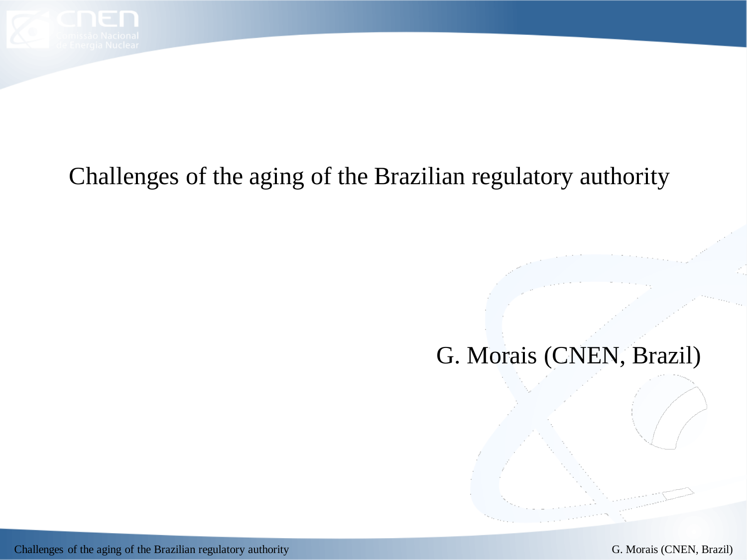

# Challenges of the aging of the Brazilian regulatory authority

# G. Morais (CNEN, Brazil)

Challenges of the aging of the Brazilian regulatory authority G. Morais (CNEN, Brazil)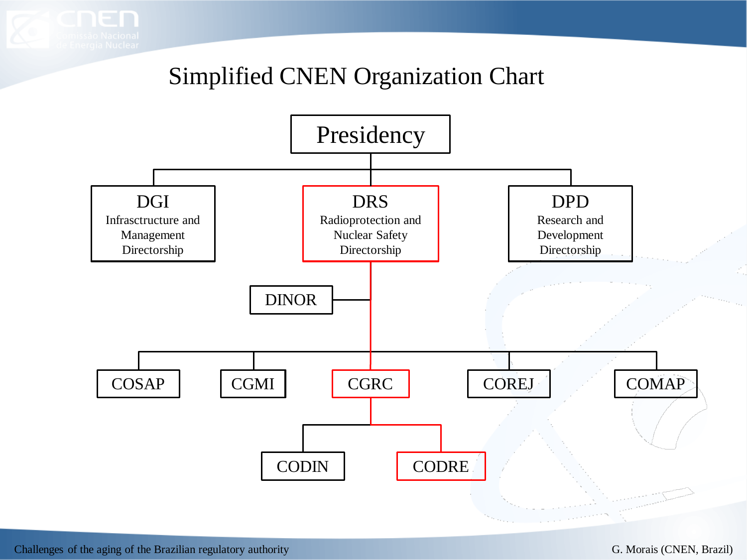

### Simplified CNEN Organization Chart

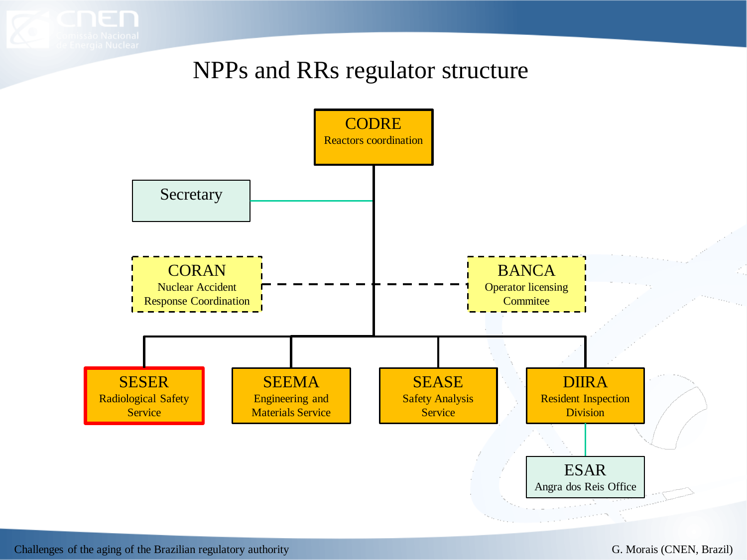### NPPs and RRs regulator structure

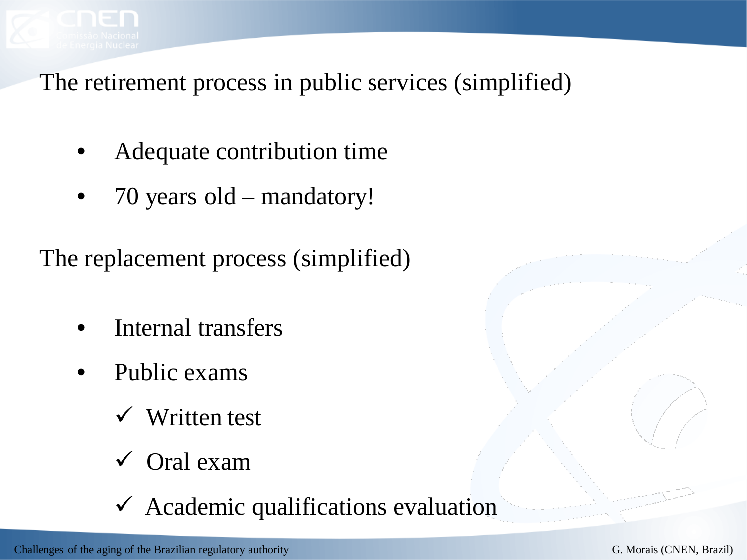

The retirement process in public services (simplified)

- Adequate contribution time
- 70 years old mandatory!

The replacement process (simplified)

- Internal transfers
- Public exams
	- Written test
	- Oral exam
	- $\checkmark$  Academic qualifications evaluation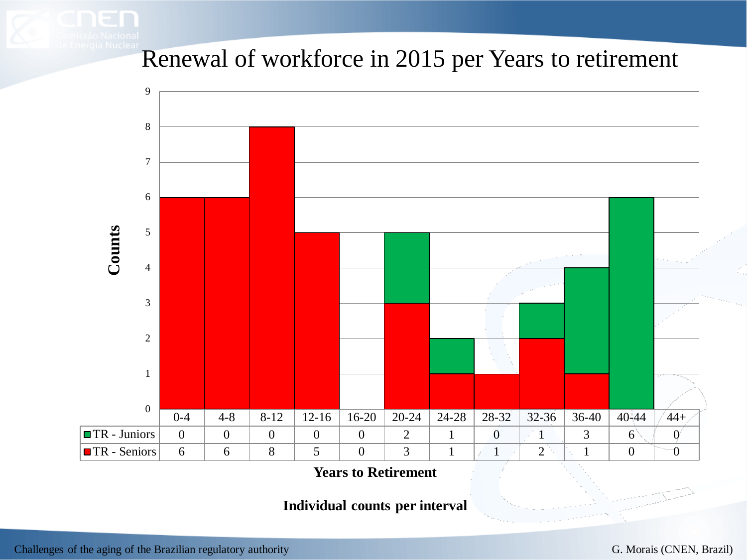Renewal of workforce in 2015 per Years to retirement



**Years to Retirement**

**Individual counts per interval**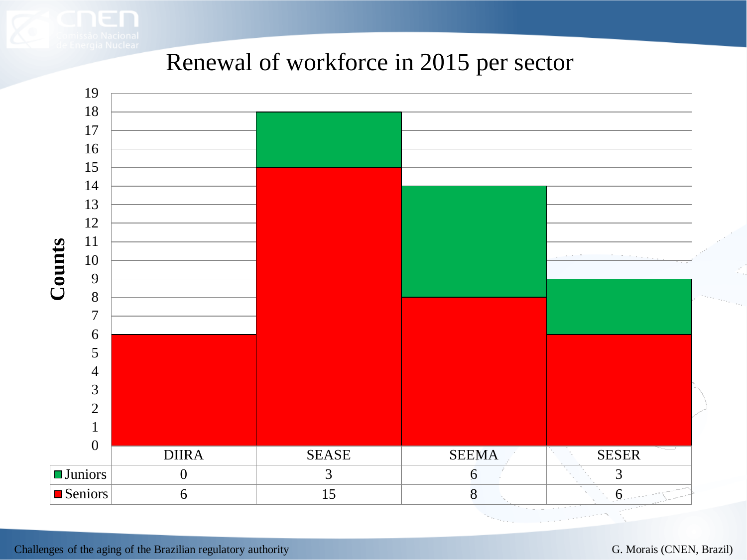#### Renewal of workforce in 2015 per sector

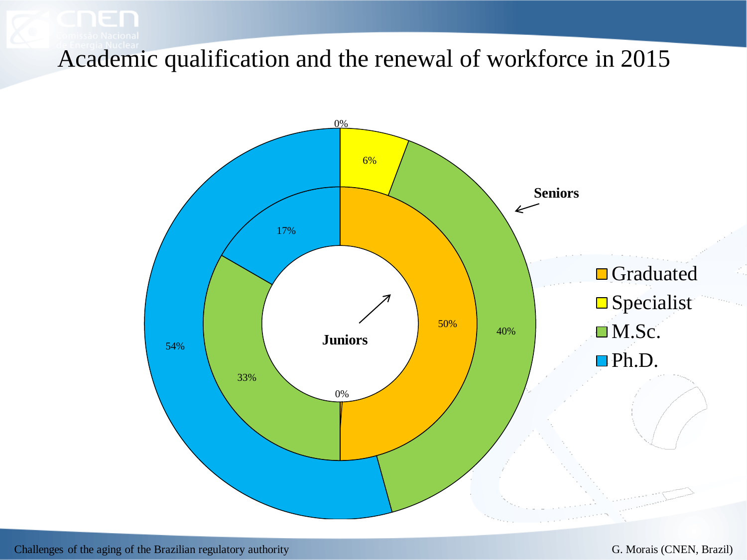Academic qualification and the renewal of workforce in 2015

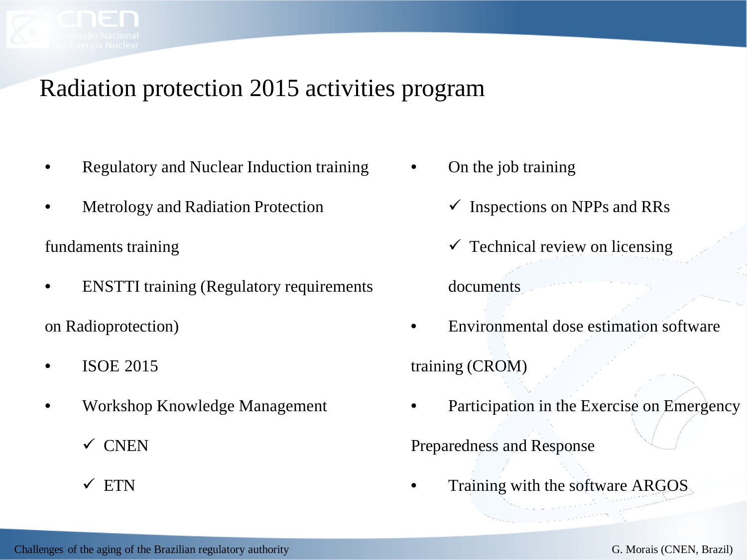## Radiation protection 2015 activities program

- Regulatory and Nuclear Induction training
- **Metrology and Radiation Protection**

fundaments training

• ENSTTI training (Regulatory requirements

on Radioprotection)

- ISOE 2015
- Workshop Knowledge Management
	- $\checkmark$  CNEN
	- $\times$  ETN
- On the job training
	- $\checkmark$  Inspections on NPPs and RRs
	- $\checkmark$  Technical review on licensing documents
- Environmental dose estimation software training (CROM)
- Participation in the Exercise on Emergency

Preparedness and Response

• Training with the software ARGOS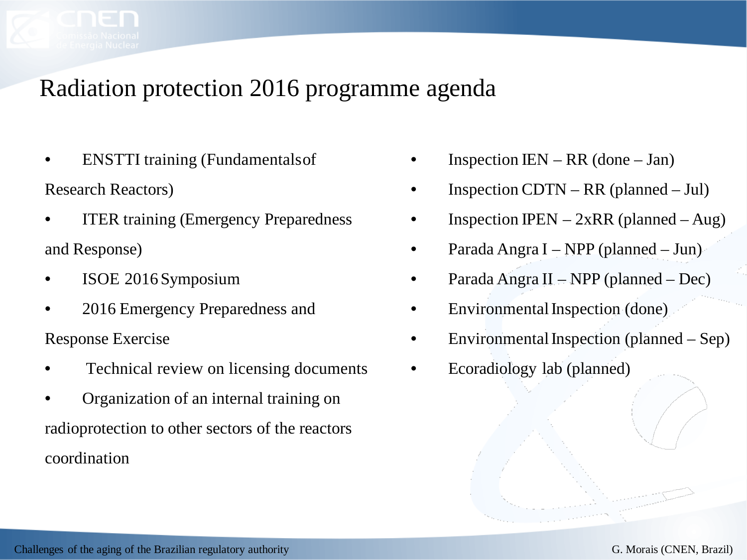## Radiation protection 2016 programme agenda

- **ENSTTI** training (Fundamentals of Research Reactors)
- **ITER** training (Emergency Preparedness) and Response)
- ISOE 2016 Symposium
- 2016 Emergency Preparedness and Response Exercise
- Technical review on licensing documents
- Organization of an internal training on radioprotection to other sectors of the reactors coordination
- Inspection IEN RR (done Jan)
- Inspection CDTN RR (planned Jul)
- Inspection IPEN  $2xRR$  (planned Aug)
- Parada Angra I NPP (planned Jun)
- Parada Angra II NPP (planned Dec)
- Environmental Inspection (done)
- Environmental Inspection (planned  $-$  Sep)
- Ecoradiology lab (planned)